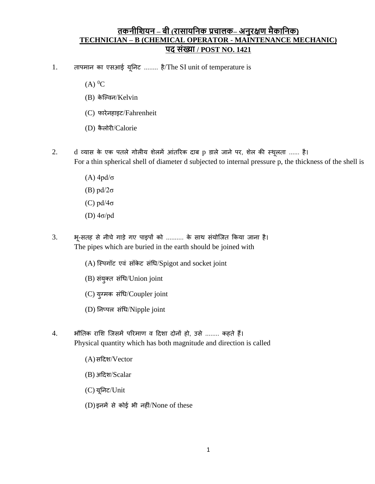## **तकनीशियन – बी (रासायशनक प्रचालक– अनुरक्षण मैकाशनक) TECHNICIAN – B (CHEMICAL OPERATOR - MAINTENANCE MECHANIC) पद संख्या / POST NO. 1421**

- 1. तापमान का एसआई यूननट ........ है/The SI unit of temperature is
	- $(A)$ <sup>0</sup>C
	- (B) के ल्विन/Kelvin
	- (C) फारेनहाइट/Fahrenheit
	- (D) कै लोरी/Calorie
- 2. d व्यास के एक पतले गोलीय शेलमें आंतररक दाब p डाले जाने पर, शेल की स्थूलता ...... है। For a thin spherical shell of diameter d subjected to internal pressure p, the thickness of the shell is
	- (A) 4pd/σ
	- (B) pd/2σ
	- (C) pd/4σ
	- (D) 4σ/pd
- 3. भू-सतह से नीचे गाडे गए पाइपों को .......... के साथ संयोल्जत ककया जाना है। The pipes which are buried in the earth should be joined with
	- (A) स्पिगॉट एवं सॉकेट संधि/Spigot and socket joint
	- (B) संयुक्त संधि/Union joint
	- (C) युग्मक संधि/Coupler joint
	- (D) ननप्पल संधि/Nipple joint
- 4. भौतिक राशि जिसमें परिमाण व दिशा दोनों हो, उसे ........ कहते हैं। Physical quantity which has both magnitude and direction is called
	- (A) सददश/Vector
	- (B) अददश/Scalar
	- (C) यूननट/Unit
	- (D) इनमें से कोई भी नहीं/None of these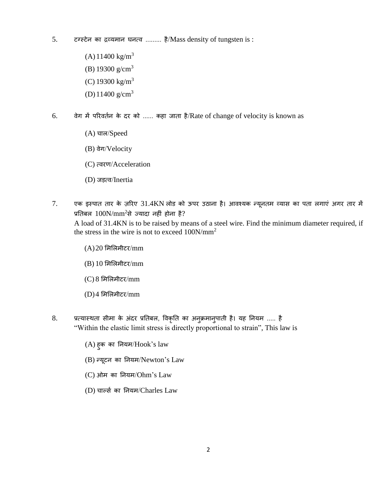- 5. टग्स्टेन का द्रव्यमान घनत्ि ......... है/Mass density of tungsten is :
	- $(A)$  11400 kg/m<sup>3</sup>
	- (B) 19300  $g/cm<sup>3</sup>$
	- (C) 19300 kg/m<sup>3</sup>
	- (D)  $11400 \text{ g/cm}^3$
- 6. िेग में पररिततन के दर को ...... कहा जाता है/Rate of change of velocity is known as
	- (A) चाल/Speed
	- (B) वेग/Velocity
	- (C) त्वरण/Acceleration
	- (D) जडत्ि/Inertia
- 7. एक इस्पात तार के ज़ररए 31.4KN लोड को ऊपर उठाना है। आिश्यक न्यूनतम व्यास का पता लगाएं अगर तार में प्रतिबल  $100N/mm^2$ से ज्यादा नहीं होना है?

A load of 31.4KN is to be raised by means of a steel wire. Find the minimum diameter required, if the stress in the wire is not to exceed 100N/mm<sup>2</sup>

- $(A)$ 20 मिलिमीटर/mm
- $(B)$  10 मिलिमीटर/mm
- $(C)$  8 मिलिमीटर/mm
- $(D)$ 4 मिलिमीटर/mm
- 8. प्रत्यास्थता सीमा के अंदर प्रनतबल, विकृनत का अनुक्रमानुपाती है। यह ननयम ..... है "Within the elastic limit stress is directly proportional to strain", This law is
	- (A) हुक का ननयम/Hook's law
	- (B) न्यूटन का ननयम/Newton's Law
	- (C) ओम का ननयम/Ohm's Law
	- (D) चार्ल्स का नियम/Charles Law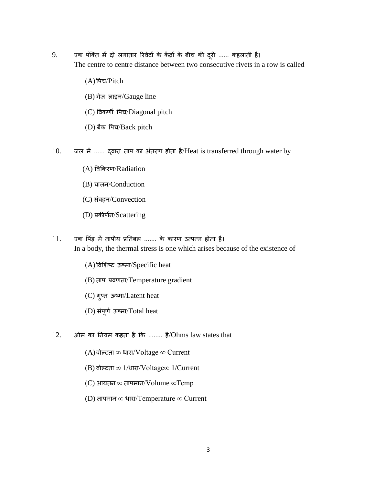- 9. एक पंल्क्त में दो लगातार ररिटे ों के केंद्रों के बीच की दरूी ...... कहलाती है। The centre to centre distance between two consecutive rivets in a row is called
	- (A)वपच/Pitch
	- (B) गेज लाइन/Gauge line
	- (C) विकणी वपच/Diagonal pitch
	- (D) बैक वपच/Back pitch
- 10. जल में ...... द्िारा ताप का अंतरण होता है/Heat is transferred through water by
	- (A) विककरण/Radiation
	- (B) चालन/Conduction
	- (C) संवहन/Convection
	- (D) प्रकीणतन/Scattering
- 11. एक पिंड़ में तापीय प्रतिबल ....... के कारण उत्पन्न होता है। In a body, the thermal stress is one which arises because of the existence of
	- (A)विशशष्ट ऊष्मा/Specific heat
	- (B) ताप प्रिणता/Temperature gradient
	- (C) गुप्त ऊष्मा/Latent heat
	- (D) संपूर्ण ऊष्मा/Total heat
- $12.$  आेम का नियम कहता है कि ........ है/Ohms law states that
	- (A) वोल्टता ∞ धारा/Voltage ∞ Current
	- (B) िोवटता ∞ 1/िारा/Voltage∞ 1/Current
	- (C) आयतन ∞ तापमान/Volume ∞Temp
	- (D) तापमान $\infty$  धारा/Temperature  $\infty$  Current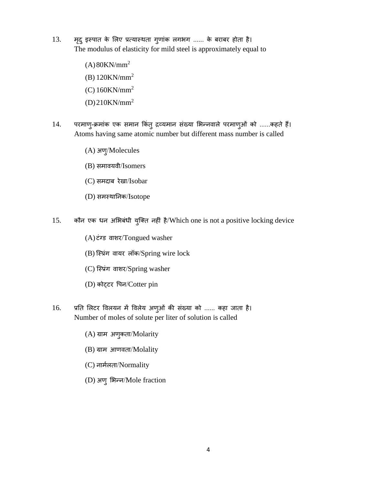- 13. मदृ ुइस्पात के शलए प्रत्यास्थता गुणांक लगभग ...... के बराबर होता है। The modulus of elasticity for mild steel is approximately equal to
	- $(A)$ 80KN/mm<sup>2</sup>
	- (B) 120KN/mm<sup>2</sup>
	- (C) 160KN/mm<sup>2</sup>
	- (D)210KN/mm<sup>2</sup>
- 14. परमाणु-क्रमांक एक समान किंतु द्रव्यमान संख्या भिन्नवाले परमाणुओं को ......कहते हैं। Atoms having same atomic number but different mass number is called
	- (A) अणु/Molecules
	- (B) समावयवी/Isomers
	- (C) समदाब रेखा/Isobar
	- (D) समस्थाननक/Isotope
- 15. कौन एक धन अभिबंधी युक्ति नहीं है/Which one is not a positive locking device
	- $(A)$ टंग्ड वाशर/Tongued washer
	- (B) स्प्रिंग वायर लॉक/Spring wire lock
	- (C) स्प्रिंग वाशर/Spring washer
	- (D) कोट्टर वपन/Cotter pin
- 16. प्रनत शलटर विलयन में विलेय अणुओं की संख्या को ...... कहा जाता है। Number of moles of solute per liter of solution is called
	- (A) ग्राम अणुकता/Molarity
	- (B) ग्राम आणिता/Molality
	- (C) नामतलता/Normality
	- (D) अणुशभन्न/Mole fraction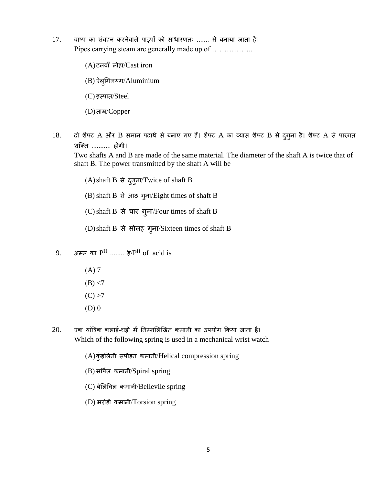- 17. वाष्प का संवहन करनेवाले पाइपों को साधारणतः ....... से बनाया जाता है। Pipes carrying steam are generally made up of ……………..
	- $(A)$ ढलवाँ लोहा/ $\operatorname{Cast}$  iron
	- (B) ऐलुशमनयम/Aluminium
	- (C) इस्पात/Steel
	- (D)ताम्र/Copper
- 18. दो शैफ्ट A और B समान पदार्थ से बनाए गए हैं। शैफ्ट A का व्यास शैफ्ट B से दुगुना है। शैफ्ट A से पारगत शल्क्त ........... होगी।

Two shafts A and B are made of the same material. The diameter of the shaft A is twice that of shaft B. The power transmitted by the shaft A will be

 $(A)$ shaft B से दुगुना/Twice of shaft B

(B)shaft B से आठ गुना/Eight times of shaft B

 $(C)$  shaft B से चार गुना/Four times of shaft B

 $(D)$ shaft B से सोलह गुना/Sixteen times of shaft B

- 19. अम्ल का  $P^H$  ........ है/ $P^H$  of acid is
	- (A) 7  $(B) < 7$
	- $(C) > 7$
	- $(D)$  0
- 20. एक यांत्रिक कलाई-घडी में ननम्नशलखखत कमानी का उपयोग ककया जाता है। Which of the following spring is used in a mechanical wrist watch
	- (A)कंुडशलनी संपीडन कमानी/Helical compression spring
	- $(B)$  सर्पिल कमानी/Spiral spring
	- (C) बेशलविल कमानी/Bellevile spring
	- (D) मरोडी कमानी/Torsion spring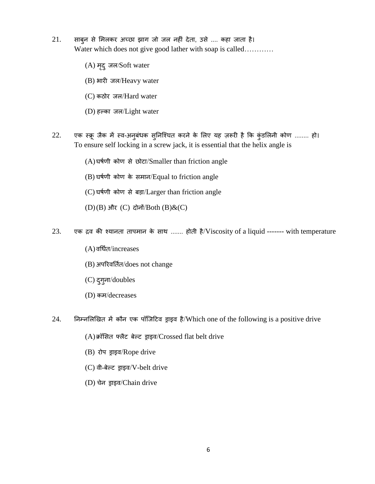- 21. साबुन से शमलकर अच्छा झाग जो जल नहीं देता, उसे .... कहा जाता है। Water which does not give good lather with soap is called…………
	- (A) मदृ ुजल/Soft water
	- (B) भारी जल/Heavy water
	- (C) कठोर जल/Hard water
	- (D) हवका जल/Light water
- 22. एक स्क्रू जैक में स्व-अनुबंधक सुनिश्चित करने के लिए यह ज़रूरी है कि कुंडलिनी कोण ........ हो। To ensure self locking in a screw jack, it is essential that the helix angle is
	- (A)घर्तणी कोण से छोटा/Smaller than friction angle
	- (B) घर्तणी कोण के समान/Equal to friction angle
	- (C) घर्तणी कोण से बडा/Larger than friction angle
	- $(D)(B)$  और  $(C)$  दोनों/ $Both (B)$ & $(C)$
- 23. एक द्रि की श्यानता तापमान के साथ ....... होती है/Viscosity of a liquid ------- with temperature
	- $(A)$ वर्धित/increases
	- (B) अपररिनततत/does not change
	- (C) दुगुना/doubles
	- (D) कम/decreases
- 24. निम्नलिखित में कौन एक पॉजिटिव ड्राइव है/Which one of the following is a positive drive
	- $(A)$ क्रॉसित फ्लैट बेल्ट ड्राइव/Crossed flat belt drive
	- $(B)$  रोप ड्राइव/Rope drive
	- $(C)$  वी-बेल्ट ड्राइव/V-belt drive
	- (D) चेन ड्राइव/Chain drive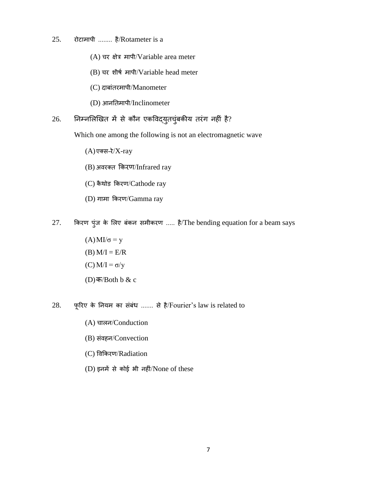- 25. रोटामापी ........ है/Rotameter is a
	- $(A)$  चर क्षेत्र मापी/Variable area meter
	- (B) चर शीर्त मापी/Variable head meter
	- (C) दाबांतरमापी/Manometer
	- (D) आननतमापी/Inclinometer

## $26.$  निम्नलिखित में से कौन एकविद्युतचुंबकीय तरंग नहीं है?

Which one among the following is not an electromagnetic wave

- $(A)$ एक्स-रे $/X$ -ray
- $(B)$  अवरक्त किरण/Infrared ray
- (C) कै थोड ककरण/Cathode ray
- (D) गामा ककरण/Gamma ray
- 27. ककरण पुंज के शलए बंकन समीकरण ..... है/The bending equation for a beam says
	- $(A)$ MI/ $\sigma$  = y  $(B)$  M/I = E/R (C)  $M/I = σ/y$ (D)क/Both b & c
- $28.$  फूरिए के नियम का संबंध ....... से है/Fourier's law is related to
	- (A) चालन/Conduction
	- (B) संवहन/Convection
	- (C) विककरण/Radiation
	- (D) इनमें से कोई भी नहीं/None of these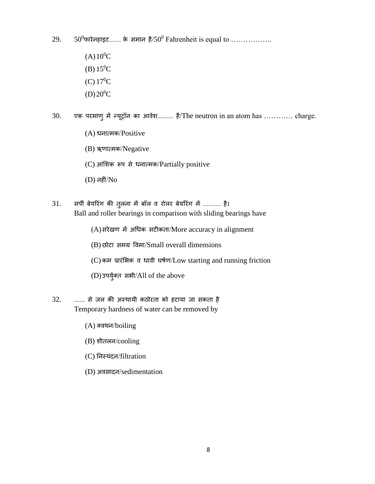29.  $50^0$ फारेनहाइट........ के समान है/50<sup>0</sup> Fahrenheit is equal to ..................

- $(A)10^{0}C$ (B)  $15^0C$ (C)  $17^0C$
- $(D)20^{0}C$
- $30.$  एक परमाणु में न्यूट्रॉन का आवेश......... है/The neutron in an atom has ............ charge.
	- $(A)$  धनात्मक/Positive
	- (B) ऋणात्मक/Negative
	- $(C)$  आंशिक रूप से धनात्मक/Partially positive
	- (D) नहीं/No
- 31. सर्पी बेयरिंग की तुलना में बॉल व रोलर बेयरिंग में .......... है। Ball and roller bearings in comparison with sliding bearings have
	- (A)संरेखण में अधिक सटीकता/More accuracy in alignment
	- (B) छोटा समग्र विमा/Small overall dimensions
	- $(C)$  कम प्रारंभिक व धावी घर्षण/Low starting and running friction
	- (D)उपयुक्त त सभी/All of the above
- $32.$  ...... से जल की अस्थायी कठोरता को हटाया जा सकता है Temporary hardness of water can be removed by
	- $(A)$  क्वथन/boiling
	- (B) शीतलन/cooling
	- (C) ननस्यंदन/filtration
	- (D) अवसादन/sedimentation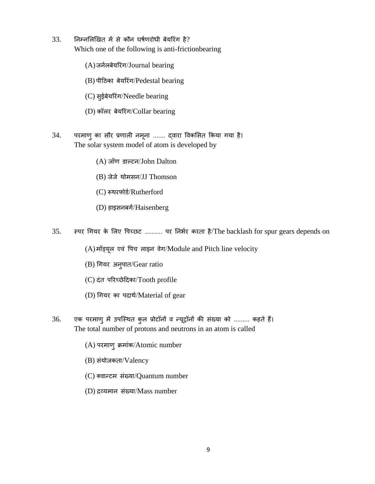- $33.$  निम्नलिखित में से कौन घर्षणरोधी बेयरिंग है? Which one of the following is anti-frictionbearing
	- (A)जनतलबेयररंग/Journal bearing
	- (B) पीदठका बेयररंग/Pedestal bearing
	- (C) सुईबेयररंग/Needle bearing
	- (D) कॉलर बेयररंग/Collar bearing
- 34. परमाणुका सौर प्रणाली नमूना ....... द्िारा विकशसत ककया गया है। The solar system model of atom is developed by
	- (A) जॉण डावटन/John Dalton
	- (B) जेजे थोमसन/JJ Thomson
	- (C) रूथरफोर्ड/Rutherford
	- (D) हाइसनबर्ग/Haisenberg
- 35. स्पर धगयर के शलए वपच्छट .......... पर ननभतर करता है/The backlash for spur gears depends on
	- (A) मॉड्यूल एवं पिच लाइन वेग/Module and Pitch line velocity
	- (B) धगयर अनुपात/Gear ratio
	- (C) दंत पररच्छे ददका/Tooth profile
	- $(D)$  गियर का पदार्थ/Material of gear
- 36. एक परमाणु में उपस्थित कुल प्रोटॉनों व न्यूट्रॉनों की संख्या को ......... कहते हैं। The total number of protons and neutrons in an atom is called
	- (A) परमाणुक्रमांक/Atomic number
	- (B) संयोजकता/Valency
	- (C) क्वान्टम संख्या/Quantum number
	- (D) द्रव्यमान संख्या/Mass number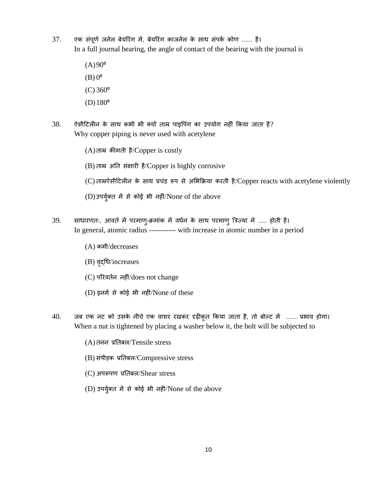- 37. एक संपूर्ण जर्नल बेयरिंग में, बेयरिंग काजर्नल के साथ संपर्क कोण ...... है। In a full journal bearing, the angle of contact of the bearing with the journal is
	- $(A)90^{\circ}$  $(B)$   $0^{\circ}$  $(C)$  360 $^{\circ}$
	- $(D)180^{\circ}$
- $38.$  ऐसीटिलीन के साथ कभी भी क्यों ताम्र पाइपिंग का उपयोग नहीं किया जाता है? Why copper piping is never used with acetylene
	- (A)ताम्र कीमती है/Copper is costly (B) ताम्र अनत संक्षारी है/Copper is highly corrosive
	- $(C)$  ताम्रऐसीटिलीन के साथ प्रचंड़ रूप से अभिक्रिया करती है/Copper reacts with acetylene violently
	- $(D)$ उपर्युक्त में से कोई भी नहीं/None of the above
- 39. साधारणतः, आवर्त में परमाण्-क्रमांक में वर्धन के साथ परमाण् त्रिज्या में ..... होती है। In general, atomic radius ----------- with increase in atomic number in a period
	- (A) कमी/decreases
	- (B) वृद्धि/increases
	- (C) पररिततन नहीं/does not change
	- (D) इनमें से कोई भी नहीं/None of these
- 40. जब एक नट को उसके नीचे एक वाशर रखकर दृढ़ीकृत किया जाता है, तो बोल्ट में ...... प्रभाव होगा। When a nut is tightened by placing a washer below it, the bolt will be subjected to
	- (A)तनन प्रनतबल/Tensile stress
	- (B) संपीडक प्रनतबल/Compressive stress
	- (C) अपरूपण प्रनतबल/Shear stress
	- $(D)$  उपर्युक्त में से कोई भी नहीं/None of the above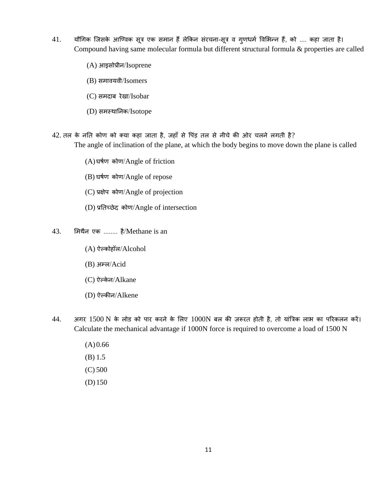- 41. यौगिक जिसके आण्विक सूत्र एक समान हैं लेकिन संरचना-सूत्र व गुणधर्म विभिन्न हैं, को .... कहा जाता है। Compound having same molecular formula but different structural formula & properties are called
	- (A) आइसोप्रीन/Isoprene
	- (B) समावयवी/Isomers
	- (C) समदाब रेखा/Isobar
	- (D) समस्थाननक/Isotope
- $42$ . तल के नति कोण को क्या कहा जाता है, जहाँ से पिंड़ तल से नीचे की ओर चलने लगती है?

The angle of inclination of the plane, at which the body begins to move down the plane is called

- (A)घर्तण कोण/Angle of friction
- (B) घर्तण कोण/Angle of repose
- (C) प्रक्षेप कोण/Angle of projection
- (D) प्रनतच्छेद कोण/Angle of intersection
- 43. शमथैन एक ........ है/Methane is an
	- (A) ऐवकोहॉल/Alcohol
	- (B) अम्ल/Acid
	- (C) ऐल्केन/Alkane
	- (D) ऐवकीन/Alkene
- $44.$  अगर  $1500 \text{ N}$  के लोड को पार करने के लिए  $1000 \text{ N}$  बल की ज़रूरत होती है, तो यांत्रिक लाभ का परिकलन करें। Calculate the mechanical advantage if 1000N force is required to overcome a load of 1500 N
	- $(A) 0.66$ (B) 1.5 (C) 500 (D) 150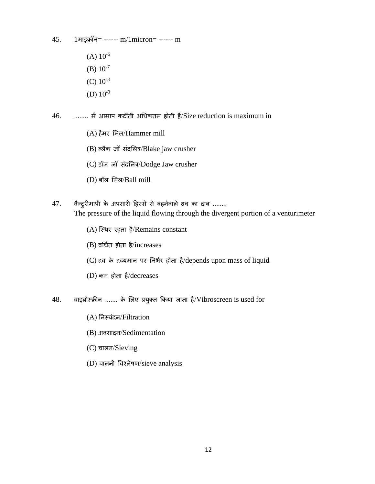- 45. 1माइक्रॉन= ------ m/1micron= ------ m
	- $(A)$  10<sup>-6</sup>
	- (B)  $10^{-7}$
	- (C)  $10^{-8}$
	- (D)  $10^{-9}$
- 46. ........ में आमाप कटौती अधिकतम होती है/Size reduction is maximum in
	- (A) हैमर शमल/Hammer mill
	- $(B)$  ब्लैक जॉ संदलित्र/Blake jaw crusher
	- (C) डॉज जॉ संदशलि/Dodge Jaw crusher
	- (D) बॉल शमल/Ball mill
- 47. वैन्ट्रीमापी के अपसारी हिस्से से बहनेवाले द्रव का दाब ........ The pressure of the liquid flowing through the divergent portion of a venturimeter
	- (A) ल्स्थर रहता है/Remains constant
	- $(B)$  वर्धित होता है/increases
	- $(C)$  द्रव के द्रव्यमान पर निर्भर होता है/depends upon mass of liquid
	- (D) कम होता है/decreases
- $48.$  वाइब्रोस्क्रीन ....... के लिए प्रयुक्त किया जाता है/Vibroscreen is used for
	- (A) ननस्यंदन/Filtration
	- (B) अवसादन/Sedimentation
	- (C) चालन/Sieving
	- (D) चालनी विश्लेर्ण/sieve analysis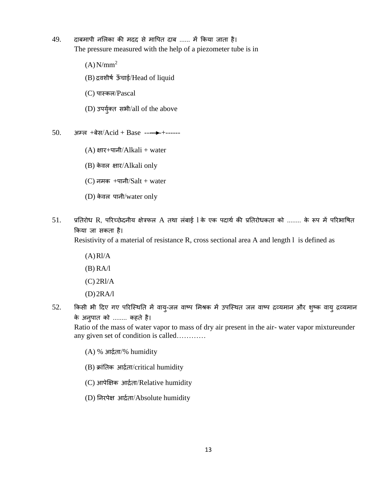- 49. दाबमापी नशलका की मदद से मावपत दाब ...... में ककया जाता है। The pressure measured with the help of a piezometer tube is in
	- $(A)$ N/mm<sup>2</sup>
	- (B) द्रिशीर्त ऊाँ चाई/Head of liquid
	- (C) पास्कल/Pascal
	- (D) उपयुक्त त सभी/all of the above

50. अम्ल +बेस/Acid + Base ------+------

- (A) क्षार+पानी/Alkali + water
- (B) केवल क्षार/Alkali only
- $(C)$  नमक  $+$ पानी $/Salt + water$
- $(D)$  केवल पानी/water only
- 51. प्रतिरोध R, परिच्छेदनीय क्षेत्रफल A तथा लंबाई l के एक पदार्थ की प्रतिरोधकता को ........ के रूप में परिभाषित ककया जा सकता है।

Resistivity of a material of resistance R, cross sectional area A and length l is defined as

- $(A)$ Rl/A
- (B) RA/l
- (C) 2Rl/A
- (D)2RA/l
- 52. किसी भी दिए गए परिस्थिति में वायु-जल वाष्प मिश्रक में उपस्थित जल वाष्प द्रव्यमान और शुष्क वायु द्रव्यमान के अनुपात को ........ कहते है।

Ratio of the mass of water vapor to mass of dry air present in the air- water vapor mixtureunder any given set of condition is called…………

- (A) % आद्रतता/% humidity
- (B) क्रांनतक आद्रतता/critical humidity
- (C) आपेक्षक्षक आद्रतता/Relative humidity
- (D) ननरपेक्ष आद्रतता/Absolute humidity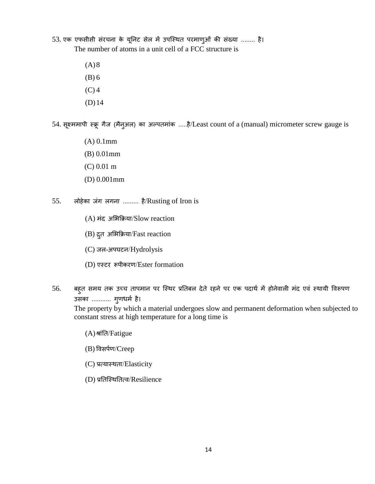53. एक एफसीसी संरचना के यूननट सेल में उपल्स्थत परमाणुओं की संख्या ........ है। The number of atoms in a unit cell of a FCC structure is

> $(A)8$ (B) 6

- $(C)$  4
- (D)14

54. सूक्ष्ममापी स्क्रू गैज (मैनुअल) का अवपतमांक .....है/Least count of a (manual) micrometer screw gauge is

- (A) 0.1mm
- (B) 0.01mm
- (C) 0.01 m
- (D) 0.001mm
- 55. लोहेका जंग लगना ......... है/Rusting of Iron is
	- (A) मंद अशभकक्रया/Slow reaction
	- (B) द्रतु अशभकक्रया/Fast reaction
	- (C) जल-अपघटन/Hydrolysis
	- (D) एस्टर रूपीकरण/Ester formation
- 56. बहुत समय तक उच्च तापमान पर स्थिर प्रतिबल देते रहने पर एक पदार्थ में होनेवाली मंद एवं स्थायी विरूपण उसका ........... गुणिमत है।

The property by which a material undergoes slow and permanent deformation when subjected to constant stress at high temperature for a long time is

- (A) श्रांनत/Fatigue
- (B) विसपतण/Creep
- (C) प्रत्यास्थता/Elasticity
- (D) प्रनतल्स्थनतत्ि/Resilience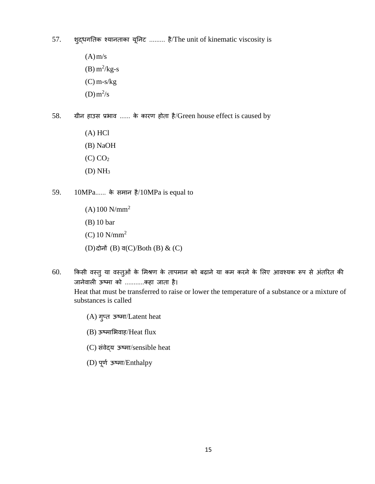- 57. शुद्िगनतक श्यानताका यूननट ......... है/The unit of kinematic viscosity is
	- $(A)$  m/s  $(B) m<sup>2</sup>/kg-s$ (C) m-s/kg  $(D) m<sup>2</sup>/s$
- 58. ग्रीन हाउस प्रभाव ...... के कारण होता है/Green house effect is caused by
	- (A) HCl (B) NaOH  $(C)$   $CO<sub>2</sub>$ (D) NH<sup>3</sup>
- 59. 10MPa...... के समान है/10MPa is equal to
	- $(A)100$  N/mm<sup>2</sup> (B) 10 bar (C) 10 N/mm<sup>2</sup>  $(D)$ दोनों  $(B)$  व $(C)/$ Both  $(B)$  &  $(C)$
- 60. किसी वस्तु या वस्तुओं के मिश्रण के तापमान को बढ़ाने या कम करने के लिए आवश्यक रूप से अंतरित की जानेवाली ऊष्मा को ...........कहा जाता है। Heat that must be transferred to raise or lower the temperature of a substance or a mixture of substances is called
	- (A) गुप्त ऊष्मा/Latent heat
	- $(B)$  ऊष्माभिवाह/Heat flux
	- (C) संवेदय ऊष्मा/sensible heat
	- (D) पूणत ऊष्मा/Enthalpy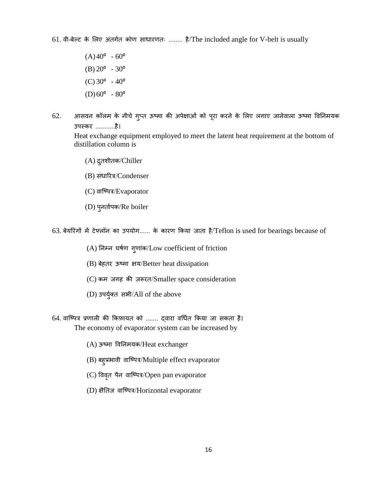61. िी-बेवट के शलए अंतगतत कोण सािारणतः ........ है/The included angle for V-belt is usually

- $(A)40^{\circ} 60^{\circ}$  $(B) 20^{\circ} - 30^{\circ}$  $(C)$  30 $^{\circ}$  - 40 $^{\circ}$  $(D)60^{\circ} - 80^{\circ}$
- 62. आसवन कॉलम के नीचे गुप्त ऊष्मा की अपेक्षाओं को पूरा करने के लिए लगाए जानेवाला ऊष्मा विनिमयक उपस्कर ...........है।

Heat exchange equipment employed to meet the latent heat requirement at the bottom of distillation column is

- (A) द्रतु शीतक/Chiller
- (B) संधारित्र/Condenser
- (C) वाष्पित्र/Evaporator
- (D) पुनतातपक/Re boiler

63. बेयररंगों में टेफ्लॉन का उपयोग...... के कारण ककया जाता है/Teflon is used for bearings because of

- (A) ननम्न घर्तण गुणांक/Low coefficient of friction
- (B) बेहतर ऊष्मा क्षय/Better heat dissipation
- (C) कम जगह की ज़रूरत/Smaller space consideration
- (D) उपयुक्त त सभी/All of the above

64. वाष्पित्र प्रणाली की किफ़ायत को ....... द्वारा वर्धित किया जा सकता है।

The economy of evaporator system can be increased by

- (A) ऊष्मा विननमयक/Heat exchanger
- (B) बहुप्रभावी वाष्पित्र/Multiple effect evaporator
- (C) विवृत पैन वाष्पित्र/Open pan evaporator
- (D) क्षैतिज वाष्पित्र/Horizontal evaporator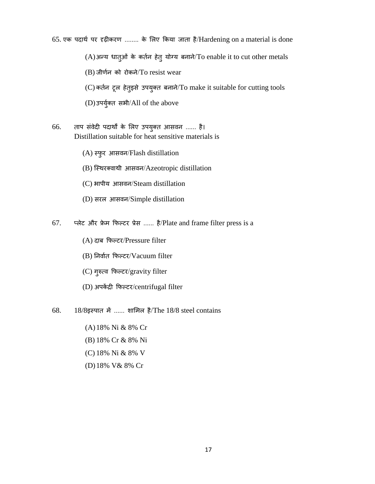65. एक पदार्थ पर दृढ़ीकरण ........ के लिए किया जाता है/Hardening on a material is done

(A) अन्य धातुओं के कर्तन हेतु योग्य बनाने/To enable it to cut other metals

(B) जीणतन को रोकने/To resist wear

(C) कततन टूल हेतुइसे उपयुक्त बनान/ेTo make it suitable for cutting tools

(D)उपयुक्त त सभी/All of the above

- 66. ताप संवेदी पदार्थों के लिए उपयुक्त आसवन ...... है। Distillation suitable for heat sensitive materials is
	- (A) स्फुर आसिन/Flash distillation
	- (B) स्थिरक्वाथी आसवन/Azeotropic distillation
	- (C) भापीय आसिन/Steam distillation
	- (D) सरल आसिन/Simple distillation

67. प्लेट और फ्रेम फिल्टर प्रेस ...... है/Plate and frame filter press is a

- (A) दाब कफवटर/Pressure filter
- (B) निर्वात फिल्टर/Vacuum filter
- (C) गुरुत्ि कफवटर/gravity filter
- (D) अपकेंद्री फिल्टर/centrifugal filter
- 68. 18/8इस्पात में ...... शाशमल है/The 18/8 steel contains
	- (A)18% Ni & 8% Cr
	- (B) 18% Cr & 8% Ni
	- (C) 18% Ni & 8% V
	- (D)18% V& 8% Cr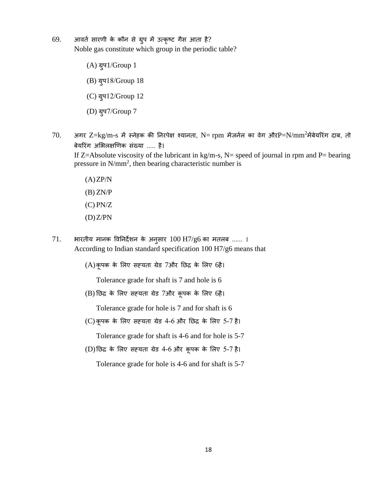- 69. आितत सारणी के कौन से ग्रुप में उत्कृष्ट गैस आता है? Noble gas constitute which group in the periodic table?
	- (A) ग्रुप1/Group 1 (B) ग्रुप18/Group 18 (C) ग्रुप12/Group 12 (D) ग्रुप7/Group 7
- $70.$  अगर  $Z=\text{kg/m-s}$  में स्नेहक की निरपेक्ष श्यानता, N= rpm मेंजर्नल का वेग औरP=N/mm<sup>2</sup>मेंबेयरिंग दाब, तो बेयररंग अशभलक्षखणक संख्या ..... है।

If Z=Absolute viscosity of the lubricant in kg/m-s, N= speed of journal in rpm and P= bearing pressure in  $N/mm^2$ , then bearing characteristic number is

- $(A)ZP/N$  $(B)$  ZN/P (C) PN/Z
- $(D)Z/PN$
- 71. भारतीय मानक विननदेशन के अनुसार 100 H7/g6 का मतलब ...... । According to Indian standard specification 100 H7/g6 means that

(A)कूपक के शलए सह्यता ग्रेड 7और नछद्र के शलए 6है।

Tolerance grade for shaft is 7 and hole is 6

(B) नछद्र के शलए सह्यता ग्रेड 7और कूपक के शलए 6है।

Tolerance grade for hole is 7 and for shaft is 6

(C) कूपक के शलए सह्यता ग्रेड 4-6 और नछद्र के शलए 5-7 है।

Tolerance grade for shaft is 4-6 and for hole is 5-7

(D)नछद्र के शलए सह्यता ग्रेड 4-6 और कूपक के शलए 5-7 है।

Tolerance grade for hole is 4-6 and for shaft is 5-7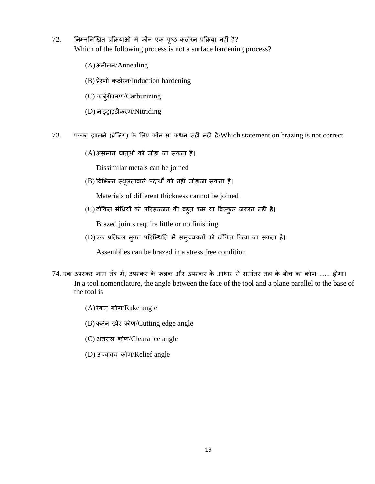- $72.$  निम्नलिखित प्रक्रियाओं में कौन एक पृष्ठ कठोरन प्रक्रिया नहीं है? Which of the following process is not a surface hardening process?
	- (A)अनीलन/Annealing
	- (B) प्रेरणी कठोरन/Induction hardening
	- (C) कार्ब्रीकरण/Carburizing
	- (D) नाइट्राइडीकरण/Nitriding
- 73. पक्का झालने (ब्रेल्ज़ग) के शलए कौन-सा कथन सहीं नहीं है/Which statement on brazing is not correct
	- (A)असमान िातुओं को जोडा जा सकता है।

Dissimilar metals can be joined

(B) विशभन्न स्थूलतािाले पदाथों को नहीं जोडाजा सकता है।

Materials of different thickness cannot be joined

(C) टााँककत संधियों को पररसज्जन की बहुत कम या त्रबवकुल ज़रूरत नहीं है।

Brazed joints require little or no finishing

(D)एक प्रनतबल मुक्त पररल्स्थनत में समुच्चयनों को टााँककत ककया जा सकता है।

Assemblies can be brazed in a stress free condition

- 74. एक उपस्कर नाम तंि में, उपस्कर के फलक और उपस्कर के आिार से समांतर तल के बीच का कोण ...... होगा। In a tool nomenclature, the angle between the face of the tool and a plane parallel to the base of the tool is
	- (A) रेकन कोण/Rake angle
	- (B) कततन छोर कोण/Cutting edge angle
	- (C) अंतराल कोण/Clearance angle
	- (D) उच्चािच कोण/Relief angle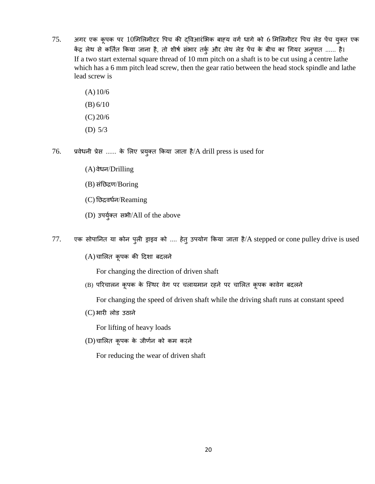- $75.$  अगर एक कूपक पर  $10$ मिलिमीटर पिच की द्विआरंभिक बाह्य वर्ग धागे को 6 मिलिमीटर पिच लेड पेंच युक्त एक केंद्र लेथ से कनततत ककया जाना है, तो शीर्त सभं ार तकुत और लेथ लेड पेंच के बीच का धगयर अनुपात ...... है। If a two start external square thread of 10 mm pitch on a shaft is to be cut using a centre lathe which has a 6 mm pitch lead screw, then the gear ratio between the head stock spindle and lathe lead screw is
	- $(A)10/6$ (B) 6/10
	- (C) 20/6
	-
	- (D) 5/3
- 76. प्रवेधनी प्रेस ...... के लिए प्रयुक्त किया जाता है/A drill press is used for
	- $(A)$ वेधन/Drilling
	- (B) संनछद्रण/Boring
	- $(C)$  छिद्रवर्धन/Reaming
	- (D) उपयुक्त त सभी/All of the above
- 77. एक सोपानित या कोन पुली ड्राइव को .... हेतु उपयोग किया जाता है/A stepped or cone pulley drive is used
	- (A) चाशलत कूपक की ददशा बदलने

For changing the direction of driven shaft

(B) परिचालन कूपक के स्थिर वेग पर चलायमान रहने पर चालित कूपक कावेग बदलने

For changing the speed of driven shaft while the driving shaft runs at constant speed

(C) भारी लोड उठाने

For lifting of heavy loads

(D) चाशलत कूपक के जीणतन को कम करने

For reducing the wear of driven shaft